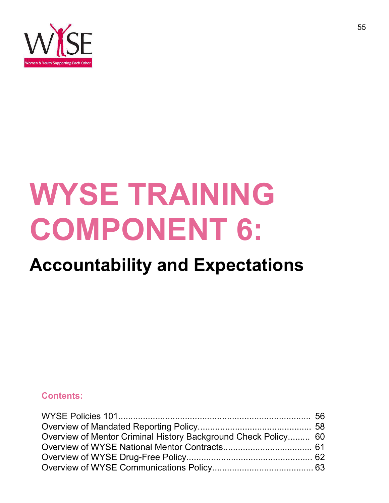

# WYSE TRAINING COMPONENT 6: Accountability and Expectations

#### Contents:

| Overview of Mentor Criminal History Background Check Policy 60 |  |
|----------------------------------------------------------------|--|
|                                                                |  |
|                                                                |  |
|                                                                |  |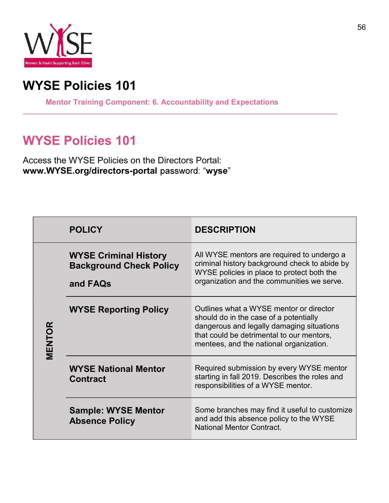

#### WYSE Policies 101

Mentor Training Component: 6. Accountability and Expectations

#### WYSE Policies 101

Access the WYSE Policies on the Directors Portal: www.WYSE.org/directors-portal password: "wyse"

|        | <b>POLICY</b>                                                              | <b>DESCRIPTION</b>                                                                                                                                                                                                     |
|--------|----------------------------------------------------------------------------|------------------------------------------------------------------------------------------------------------------------------------------------------------------------------------------------------------------------|
| MENTOR | <b>WYSE Criminal History</b><br><b>Background Check Policy</b><br>and FAQs | All WYSE mentors are required to undergo a<br>criminal history background check to abide by<br>WYSE policies in place to protect both the<br>organization and the communities we serve.                                |
|        | <b>WYSE Reporting Policy</b>                                               | Outlines what a WYSE mentor or director<br>should do in the case of a potentially<br>dangerous and legally damaging situations<br>that could be detrimental to our mentors,<br>mentees, and the national organization. |
|        | <b>WYSE National Mentor</b><br><b>Contract</b>                             | Required submission by every WYSE mentor<br>starting in fall 2019. Describes the roles and<br>responsibilities of a WYSE mentor.                                                                                       |
|        | <b>Sample: WYSE Mentor</b><br><b>Absence Policy</b>                        | Some branches may find it useful to customize<br>and add this absence policy to the WYSE<br><b>National Mentor Contract.</b>                                                                                           |

٦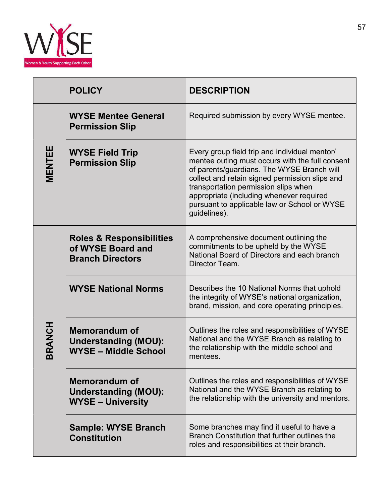

|               | <b>POLICY</b>                                                                       | <b>DESCRIPTION</b>                                                                                                                                                                                                                                                                                                                                   |
|---------------|-------------------------------------------------------------------------------------|------------------------------------------------------------------------------------------------------------------------------------------------------------------------------------------------------------------------------------------------------------------------------------------------------------------------------------------------------|
|               | <b>WYSE Mentee General</b><br><b>Permission Slip</b>                                | Required submission by every WYSE mentee.                                                                                                                                                                                                                                                                                                            |
| MENTEE        | <b>WYSE Field Trip</b><br><b>Permission Slip</b>                                    | Every group field trip and individual mentor/<br>mentee outing must occurs with the full consent<br>of parents/guardians. The WYSE Branch will<br>collect and retain signed permission slips and<br>transportation permission slips when<br>appropriate (including whenever required<br>pursuant to applicable law or School or WYSE<br>guidelines). |
| <b>BRANCH</b> | <b>Roles &amp; Responsibilities</b><br>of WYSE Board and<br><b>Branch Directors</b> | A comprehensive document outlining the<br>commitments to be upheld by the WYSE<br>National Board of Directors and each branch<br>Director Team.                                                                                                                                                                                                      |
|               | <b>WYSE National Norms</b>                                                          | Describes the 10 National Norms that uphold<br>the integrity of WYSE's national organization,<br>brand, mission, and core operating principles.                                                                                                                                                                                                      |
|               | <b>Memorandum of</b><br><b>Understanding (MOU):</b><br><b>WYSE - Middle School</b>  | Outlines the roles and responsibilities of WYSE<br>National and the WYSE Branch as relating to<br>the relationship with the middle school and<br>mentees.                                                                                                                                                                                            |
|               | <b>Memorandum of</b><br><b>Understanding (MOU):</b><br><b>WYSE - University</b>     | Outlines the roles and responsibilities of WYSE<br>National and the WYSE Branch as relating to<br>the relationship with the university and mentors.                                                                                                                                                                                                  |
|               | <b>Sample: WYSE Branch</b><br><b>Constitution</b>                                   | Some branches may find it useful to have a<br>Branch Constitution that further outlines the<br>roles and responsibilities at their branch.                                                                                                                                                                                                           |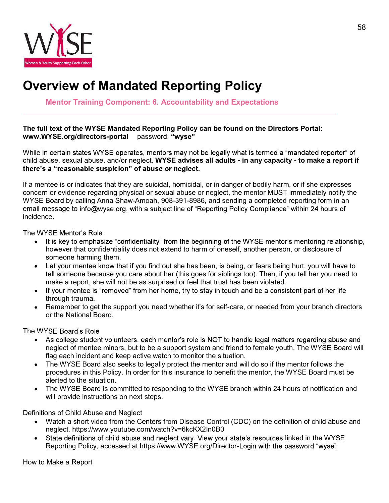

## Overview of Mandated Reporting Policy

Mentor Training Component: 6. Accountability and Expectations

#### The full text of the WYSE Mandated Reporting Policy can be found on the Directors Portal: www.WYSE.org/directors-portal password: "wyse"

While in certain states WYSE operates, mentors may not be legally what is termed a "mandated reporter" of child abuse, sexual abuse, and/or neglect, WYSE advises all adults - in any capacity - to make a report if t.

If a mentee is or indicates that they are suicidal, homicidal, or in danger of bodily harm, or if she expresses concern or evidence regarding physical or sexual abuse or neglect, the mentor MUST immediately notify the WYSE Board by calling Anna Shaw-Amoah, 908-391-8986, and sending a completed reporting form in an email message to info@wyse.org, with a subject line of "Reporting Policy Compliance" within 24 hours of incidence.

The WYSE Mentor's Role

- It is key to emphasize "confidentiality" from the beginning of the WYSE mentor's mentoring relationship,  $\bullet$ however that confidentiality does not extend to harm of oneself, another person, or disclosure of someone harming them.
- Let your mentee know that if you find out she has been, is being, or fears being hurt, you will have to  $\bullet$ tell someone because you care about her (this goes for siblings too). Then, if you tell her you need to make a report, she will not be as surprised or feel that trust has been violated.
- If your mentee is "removed" from her home, try to stay in touch and be a consistent part of her life  $\bullet$ through trauma.
- Remember to get the support you need whether it's for self-care, or needed from your branch directors or the National Board.

The WYSE Board's Role

- As college student volunteers, each mentor's role is NOT to handle legal matters regarding abuse and  $\bullet$ neglect of mentee minors, but to be a support system and friend to female youth. The WYSE Board will flag each incident and keep active watch to monitor the situation.
- The WYSE Board also seeks to legally protect the mentor and will do so if the mentor follows the  $\bullet$ procedures in this Policy. In order for this insurance to benefit the mentor, the WYSE Board must be alerted to the situation.
- The WYSE Board is committed to responding to the WYSE branch within 24 hours of notification and will provide instructions on next steps.

Definitions of Child Abuse and Neglect

- Watch a short video from the Centers from Disease Control (CDC) on the definition of child abuse and neglect. https://www.youtube.com/watch?v=6kcKX2In0B0
- State definitions of child abuse and neglect vary. View your state's resources linked in the WYSE Reporting Policy, accessed at https://www.WYSE.org/Director-Login with the password "wyse".

How to Make a Report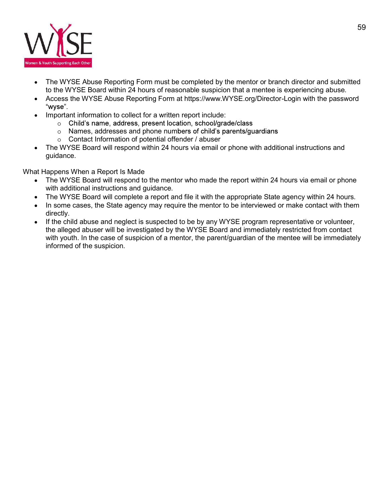

- The WYSE Abuse Reporting Form must be completed by the mentor or branch director and submitted to the WYSE Board within 24 hours of reasonable suspicion that a mentee is experiencing abuse.
- Access the WYSE Abuse Reporting Form at https://www.WYSE.org/Director-Login with the password "wyse"
- Important information to collect for a written report include:
	- Child's name, address, present location, school/grade/class
	- $\circ$  Names, addresses and phone numbers of child's parents/quardians
	- $\circ$  Contact Information of potential offender / abuser
- The WYSE Board will respond within 24 hours via email or phone with additional instructions and  $\bullet$ guidance.

What Happens When a Report Is Made

- The WYSE Board will respond to the mentor who made the report within 24 hours via email or phone with additional instructions and guidance.
- The WYSE Board will complete a report and file it with the appropriate State agency within 24 hours.
- In some cases, the State agency may require the mentor to be interviewed or make contact with them  $\bullet$ directly.
- If the child abuse and neglect is suspected to be by any WYSE program representative or volunteer, the alleged abuser will be investigated by the WYSE Board and immediately restricted from contact with youth. In the case of suspicion of a mentor, the parent/quardian of the mentee will be immediately informed of the suspicion.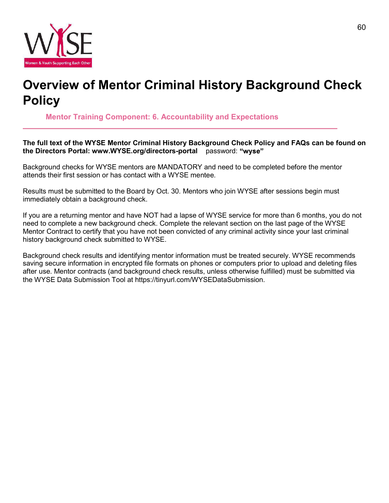

## Overview of Mentor Criminal History Background Check **Policy**

Mentor Training Component: 6. Accountability and Expectations

The full text of the WYSE Mentor Criminal History Background Check Policy and FAQs can be found on the Directors Portal: www.WYSE.org/directors-portal password: "wyse"

Background checks for WYSE mentors are MANDATORY and need to be completed before the mentor attends their first session or has contact with a WYSE mentee.

Results must be submitted to the Board by Oct. 30. Mentors who join WYSE after sessions begin must immediately obtain a background check.

If you are a returning mentor and have NOT had a lapse of WYSE service for more than 6 months, you do not need to complete a new background check. Complete the relevant section on the last page of the WYSE Mentor Contract to certify that you have not been convicted of any criminal activity since your last criminal history background check submitted to WYSE.

Background check results and identifying mentor information must be treated securely. WYSE recommends saving secure information in encrypted file formats on phones or computers prior to upload and deleting files after use. Mentor contracts (and background check results, unless otherwise fulfilled) must be submitted via the WYSE Data Submission Tool at https://tinyurl.com/WYSEDataSubmission.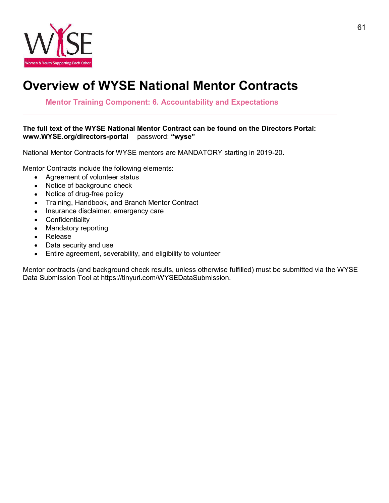

## Overview of WYSE National Mentor Contracts

Mentor Training Component: 6. Accountability and Expectations

#### The full text of the WYSE National Mentor Contract can be found on the Directors Portal: www.WYSE.org/directors-portal password: "wyse"

National Mentor Contracts for WYSE mentors are MANDATORY starting in 2019-20.

Mentor Contracts include the following elements:

- Agreement of volunteer status
- Notice of background check
- Notice of drug-free policy
- Training, Handbook, and Branch Mentor Contract
- Insurance disclaimer, emergency care
- Confidentiality
- Mandatory reporting
- Release  $\bullet$
- Data security and use  $\bullet$
- Entire agreement, severability, and eligibility to volunteer  $\bullet$

Mentor contracts (and background check results, unless otherwise fulfilled) must be submitted via the WYSE Data Submission Tool at https://tinyurl.com/WYSEDataSubmission.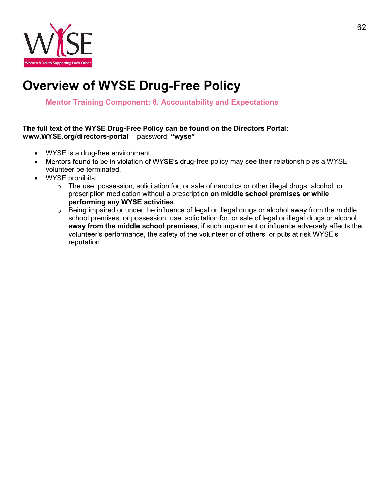

## Overview of WYSE Drug-Free Policy

Mentor Training Component: 6. Accountability and Expectations

#### The full text of the WYSE Drug-Free Policy can be found on the Directors Portal: www.WYSE.org/directors-portal password: "wyse"

- WYSE is a drug-free environment.
- Mentors found to be in violation of WYSE's drug-free policy may see their relationship as a WYSE  $\bullet$ volunteer be terminated.
- WYSE prohibits:
	- $\circ$  The use, possession, solicitation for, or sale of narcotics or other illegal drugs, alcohol, or prescription medication without a prescription on middle school premises or while performing any WYSE activities.
	- $\circ$  Being impaired or under the influence of legal or illegal drugs or alcohol away from the middle school premises, or possession, use, solicitation for, or sale of legal or illegal drugs or alcohol away from the middle school premises, if such impairment or influence adversely affects the volunteer's performance, the safety of the volunteer or of others, or puts at risk WYSE's reputation.